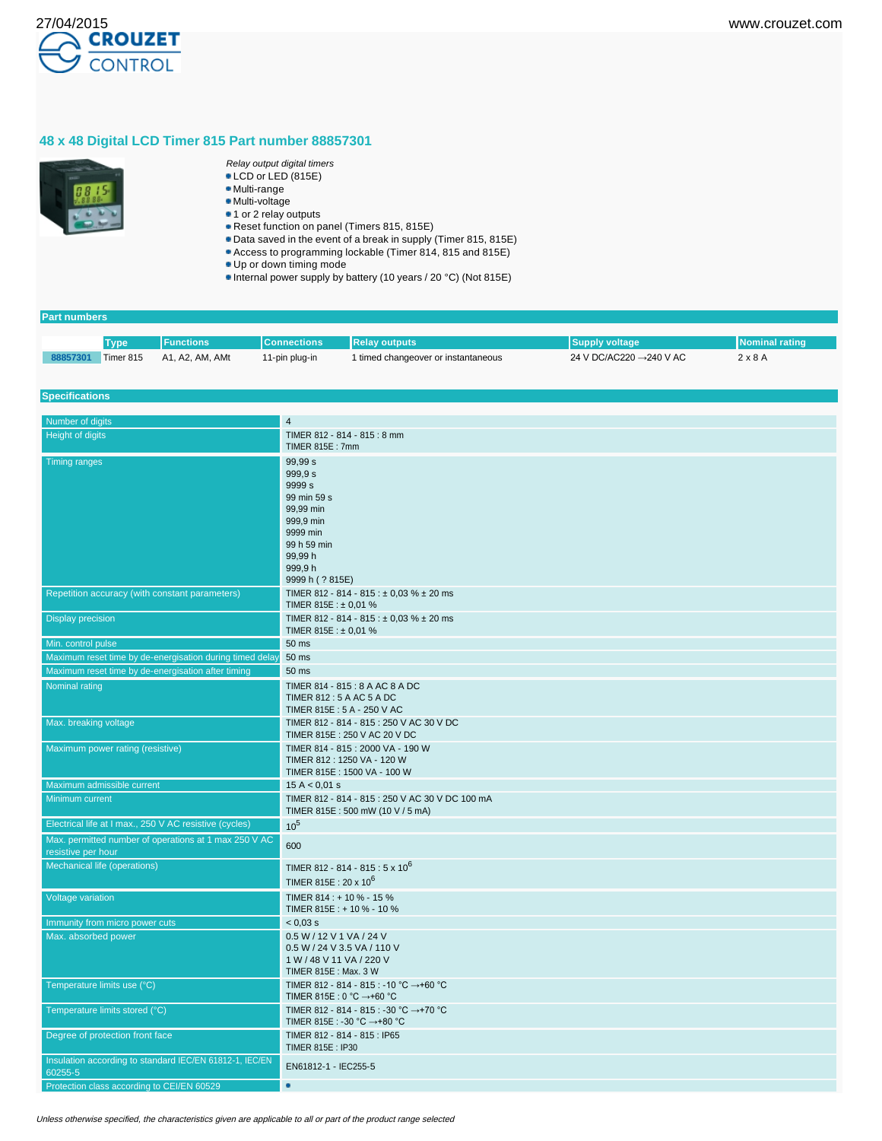

# **48 x 48 Digital LCD Timer 815 Part number 88857301**



- Relay output digital timers
- LCD or LED (815E) Multi-range
- Multi-voltage
- 1 or 2 relay outputs
- Reset function on panel (Timers 815, 815E)
- Data saved in the event of a break in supply (Timer 815, 815E)
- Access to programming lockable (Timer 814, 815 and 815E)
- Up or down timing mode
- Internal power supply by battery (10 years / 20 °C) (Not 815E)

# **Part numbers**

|          |           | Functions       | Connections    | <b>Relay outputs</b>                | Supply voltage          |                |
|----------|-----------|-----------------|----------------|-------------------------------------|-------------------------|----------------|
| 88857301 | Timer 815 | A1, A2, AM, AMt | 11-pin plug-in | 1 timed changeover or instantaneous | 24 V DC/AC220 →240 V AC | $2 \times 8$ A |

#### **Specifications**

| Number of digits                                                            | $\overline{4}$                                                                                                                                     |
|-----------------------------------------------------------------------------|----------------------------------------------------------------------------------------------------------------------------------------------------|
| Height of digits                                                            | TIMER 812 - 814 - 815 : 8 mm                                                                                                                       |
|                                                                             | TIMER 815E: 7mm                                                                                                                                    |
| <b>Timing ranges</b>                                                        | 99,99 s<br>999,9 s<br>9999 <sub>s</sub><br>99 min 59 s<br>99,99 min<br>999,9 min<br>9999 min<br>99 h 59 min<br>99,99h<br>999,9h<br>9999 h (? 815E) |
| Repetition accuracy (with constant parameters)                              | TIMER 812 - 814 - 815 : $\pm$ 0,03 % $\pm$ 20 ms<br>TIMER 815E : $\pm$ 0.01 %                                                                      |
| <b>Display precision</b>                                                    | TIMER 812 - 814 - 815 : ± 0,03 % ± 20 ms<br>TIMER 815E: ± 0,01 %                                                                                   |
| Min. control pulse                                                          | 50 ms                                                                                                                                              |
| Maximum reset time by de-energisation during timed delay                    | 50 ms                                                                                                                                              |
| Maximum reset time by de-energisation after timing                          | 50 ms                                                                                                                                              |
| Nominal rating                                                              | TIMER 814 - 815 : 8 A AC 8 A DC<br>TIMER 812 : 5 A AC 5 A DC<br>TIMER 815E: 5 A - 250 V AC                                                         |
| Max. breaking voltage                                                       | TIMER 812 - 814 - 815 : 250 V AC 30 V DC<br>TIMER 815E: 250 V AC 20 V DC                                                                           |
| Maximum power rating (resistive)                                            | TIMER 814 - 815 : 2000 VA - 190 W<br>TIMER 812: 1250 VA - 120 W<br>TIMER 815E: 1500 VA - 100 W                                                     |
| Maximum admissible current                                                  | 15 A < 0.01 s                                                                                                                                      |
| Minimum current                                                             | TIMER 812 - 814 - 815 : 250 V AC 30 V DC 100 mA<br>TIMER 815E: 500 mW (10 V / 5 mA)                                                                |
| Electrical life at I max., 250 V AC resistive (cycles)                      | 10 <sup>5</sup>                                                                                                                                    |
| Max. permitted number of operations at 1 max 250 V AC<br>resistive per hour | 600                                                                                                                                                |
| Mechanical life (operations)                                                | TIMER 812 - 814 - 815 : 5 x 10 <sup>6</sup><br>TIMER 815E: 20 x 10 <sup>6</sup>                                                                    |
| Voltage variation                                                           | TIMER 814: + 10 % - 15 %<br>TIMER 815E: + 10 % - 10 %                                                                                              |
| Immunity from micro power cuts                                              | $< 0.03$ s                                                                                                                                         |
| Max. absorbed power                                                         | 0.5 W / 12 V 1 VA / 24 V<br>0.5 W / 24 V 3.5 VA / 110 V<br>1 W / 48 V 11 VA / 220 V<br>TIMER 815E: Max. 3 W                                        |
| Temperature limits use (°C)                                                 | TIMER 812 - 814 - 815 : -10 °C →+60 °C<br>TIMER 815E : 0 °C →+60 °C                                                                                |
| Temperature limits stored (°C)                                              | TIMER 812 - 814 - 815 : -30 °C →+70 °C<br>TIMER 815E : -30 °C →+80 °C                                                                              |
| Degree of protection front face                                             | TIMER 812 - 814 - 815 : IP65<br>TIMER 815E: IP30                                                                                                   |
| Insulation according to standard IEC/EN 61812-1, IEC/EN<br>60255-5          | EN61812-1 - IEC255-5                                                                                                                               |
| Protection class according to CEI/EN 60529                                  | ۰                                                                                                                                                  |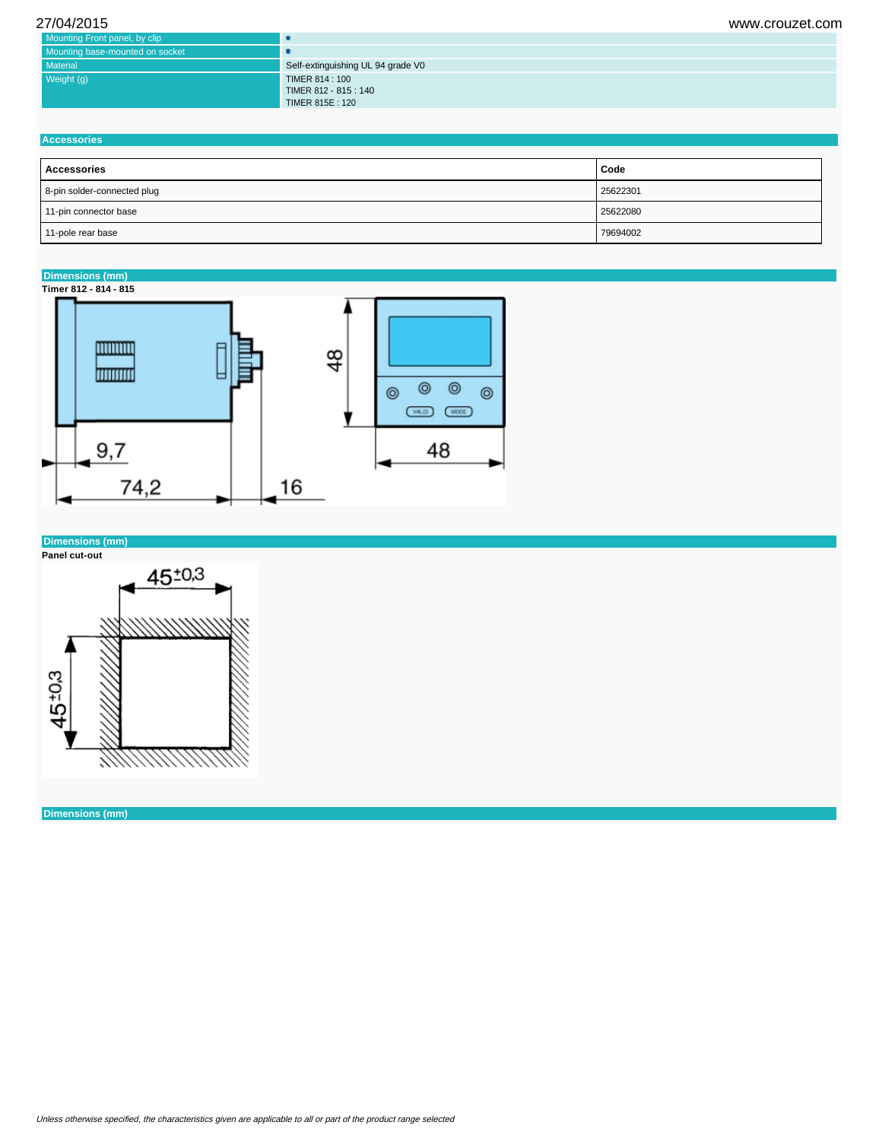| 27/04/2015                      | www.crouzet.com                   |
|---------------------------------|-----------------------------------|
| Mounting Front panel, by clip   | L.                                |
| Mounting base-mounted on socket |                                   |
| Material                        | Self-extinguishing UL 94 grade V0 |
| Weight (g)                      | TIMER 814 : 100                   |
|                                 | TIMER 812 - 815 : 140             |
|                                 | TIMER 815E: 120                   |

| <b>Accessories</b>          |          |  |  |
|-----------------------------|----------|--|--|
| Accessories                 | Code     |  |  |
| 8-pin solder-connected plug | 25622301 |  |  |
| 11-pin connector base       | 25622080 |  |  |
| 11-pole rear base           | 79694002 |  |  |

### **Dimensions (mm)**

**Timer 812 - 814 - 815**



## **Dimensions (mm)**

**Panel cut-out**



**Dimensions (mm)**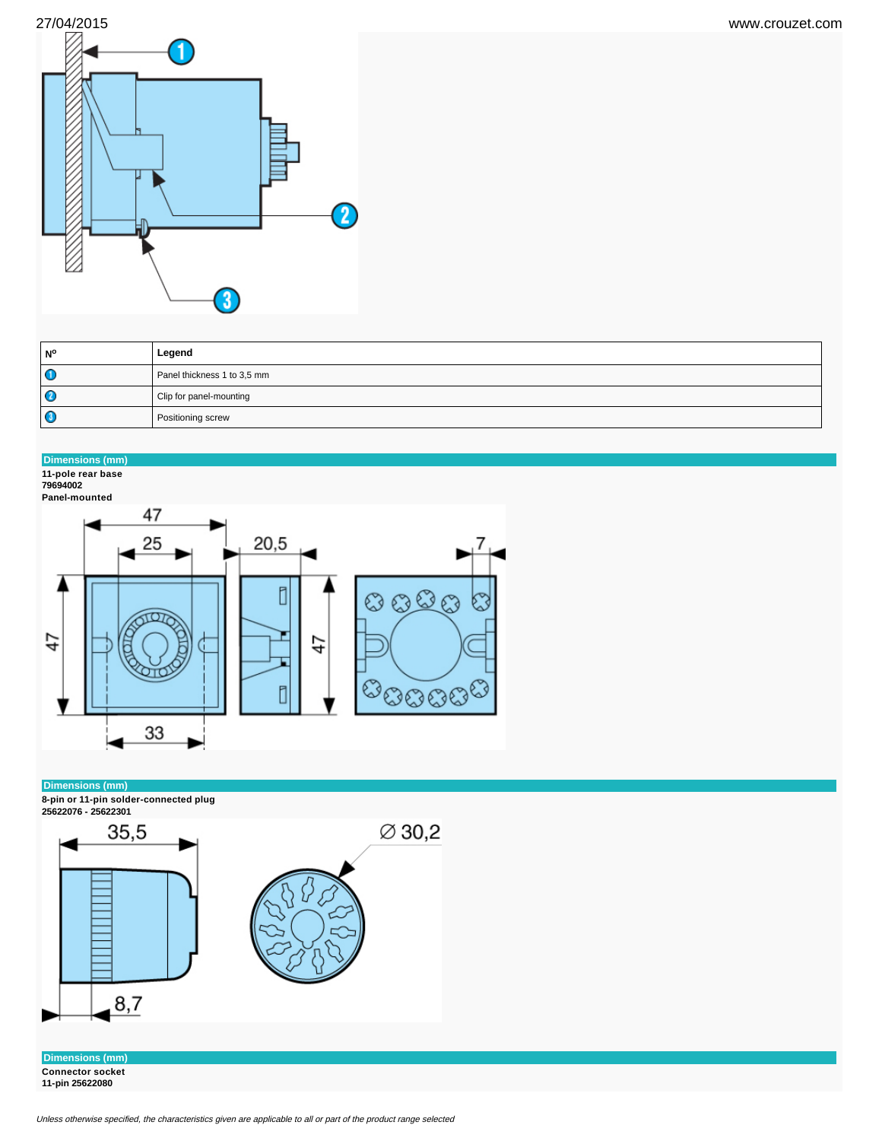

| <b>N°</b>    | Legend                      |
|--------------|-----------------------------|
| Œ            | Panel thickness 1 to 3,5 mm |
| $\mathbf{C}$ | Clip for panel-mounting     |
| C            | Positioning screw           |

# **Dimensions (mm)**

**11-pole rear base 79694002**



### **Dimensions (mm)**

**8-pin or 11-pin solder-connected plug**



**Dimensions (mm) Connector socket 11-pin 25622080**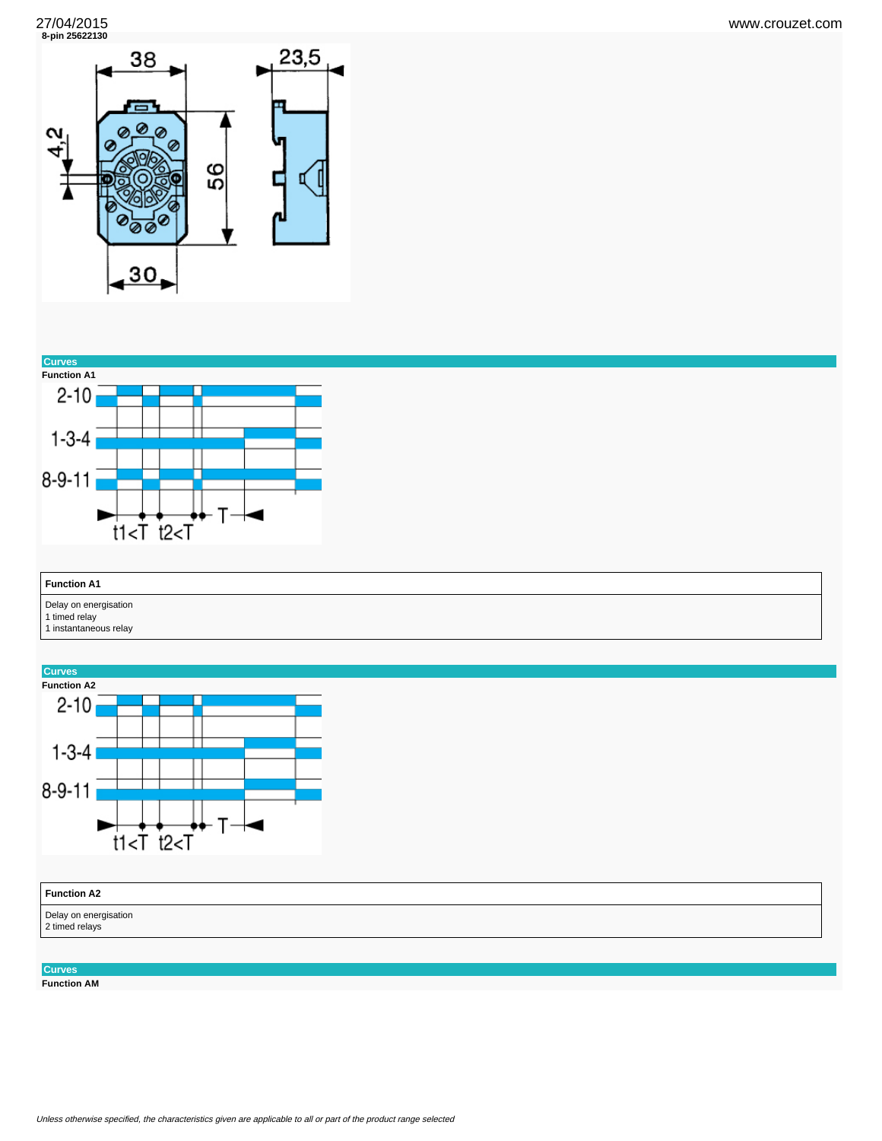**8-pin 25622130**





| <b>Function A1</b>                                              |  |
|-----------------------------------------------------------------|--|
| Delay on energisation<br>1 timed relay<br>1 instantaneous relay |  |



**Function AM**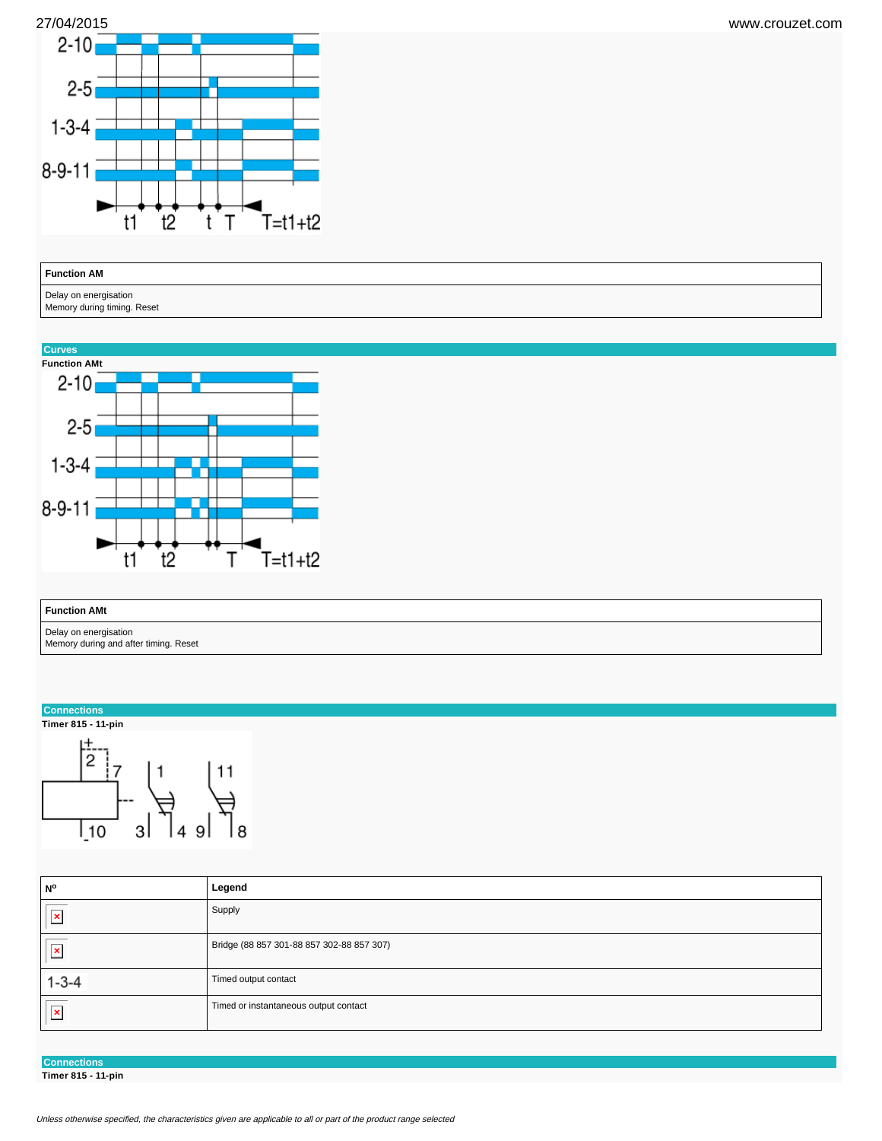



## **Function AM**

Delay on energisation

Memory during timing. Reset



| <b>Function AMt</b>                   |
|---------------------------------------|
| Delay on energisation                 |
| Memory during and after timing. Reset |

#### **Connections**





| N°                      | Legend                                    |
|-------------------------|-------------------------------------------|
| $\overline{\mathbf{r}}$ | Supply                                    |
| $\overline{\mathbf{r}}$ | Bridge (88 857 301-88 857 302-88 857 307) |
| $1 - 3 - 4$             | Timed output contact                      |
| $\overline{\mathbb{E}}$ | Timed or instantaneous output contact     |

**Connections**

**Timer 815 - 11-pin**